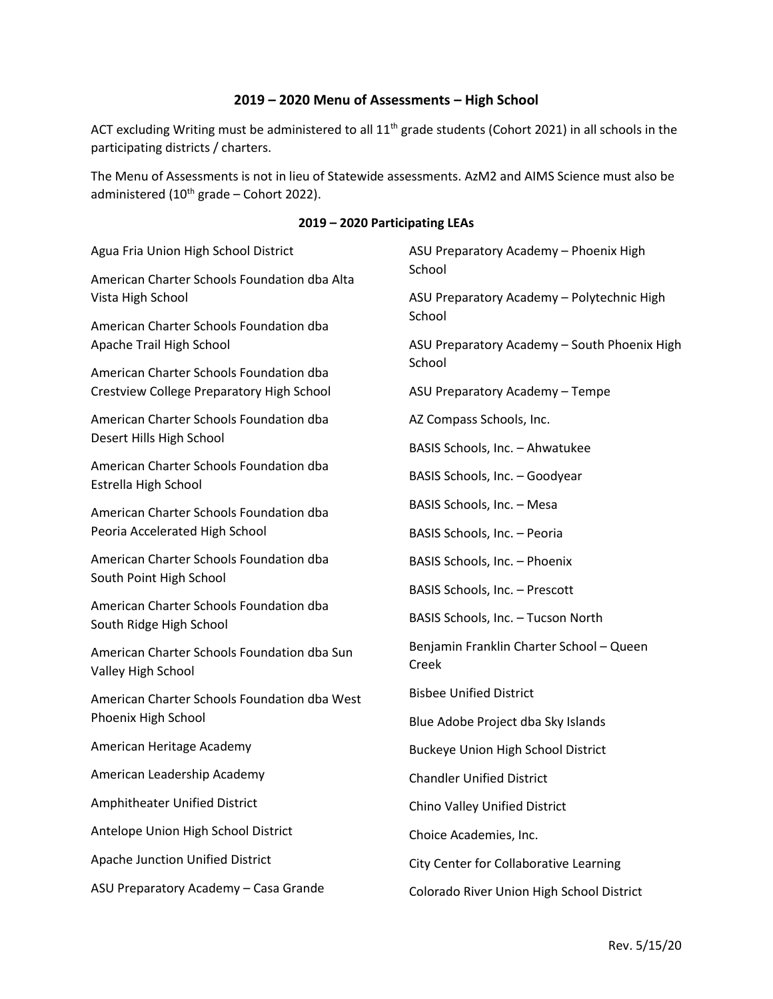## **2019 – 2020 Menu of Assessments – High School**

ACT excluding Writing must be administered to all 11<sup>th</sup> grade students (Cohort 2021) in all schools in the participating districts / charters.

The Menu of Assessments is not in lieu of Statewide assessments. AzM2 and AIMS Science must also be administered ( $10^{th}$  grade – Cohort 2022).

## **2019 – 2020 Participating LEAs**

| Agua Fria Union High School District                                                 | ASU Preparatory Academy - Phoenix High                 |
|--------------------------------------------------------------------------------------|--------------------------------------------------------|
| American Charter Schools Foundation dba Alta<br>Vista High School                    | School<br>ASU Preparatory Academy - Polytechnic High   |
| American Charter Schools Foundation dba<br>Apache Trail High School                  | School<br>ASU Preparatory Academy - South Phoenix High |
| American Charter Schools Foundation dba<br>Crestview College Preparatory High School | School<br>ASU Preparatory Academy - Tempe              |
| American Charter Schools Foundation dba<br>Desert Hills High School                  | AZ Compass Schools, Inc.                               |
|                                                                                      | BASIS Schools, Inc. - Ahwatukee                        |
| American Charter Schools Foundation dba<br>Estrella High School                      | BASIS Schools, Inc. - Goodyear                         |
| American Charter Schools Foundation dba<br>Peoria Accelerated High School            | BASIS Schools, Inc. - Mesa                             |
|                                                                                      | BASIS Schools, Inc. - Peoria                           |
| American Charter Schools Foundation dba<br>South Point High School                   | BASIS Schools, Inc. - Phoenix                          |
|                                                                                      | BASIS Schools, Inc. - Prescott                         |
| American Charter Schools Foundation dba<br>South Ridge High School                   | BASIS Schools, Inc. - Tucson North                     |
| American Charter Schools Foundation dba Sun<br>Valley High School                    | Benjamin Franklin Charter School - Queen<br>Creek      |
| American Charter Schools Foundation dba West<br>Phoenix High School                  | <b>Bisbee Unified District</b>                         |
|                                                                                      | Blue Adobe Project dba Sky Islands                     |
| American Heritage Academy                                                            | <b>Buckeye Union High School District</b>              |
| American Leadership Academy                                                          | <b>Chandler Unified District</b>                       |
| Amphitheater Unified District                                                        | Chino Valley Unified District                          |
| Antelope Union High School District                                                  | Choice Academies, Inc.                                 |
| Apache Junction Unified District                                                     | City Center for Collaborative Learning                 |
| ASU Preparatory Academy - Casa Grande                                                | Colorado River Union High School District              |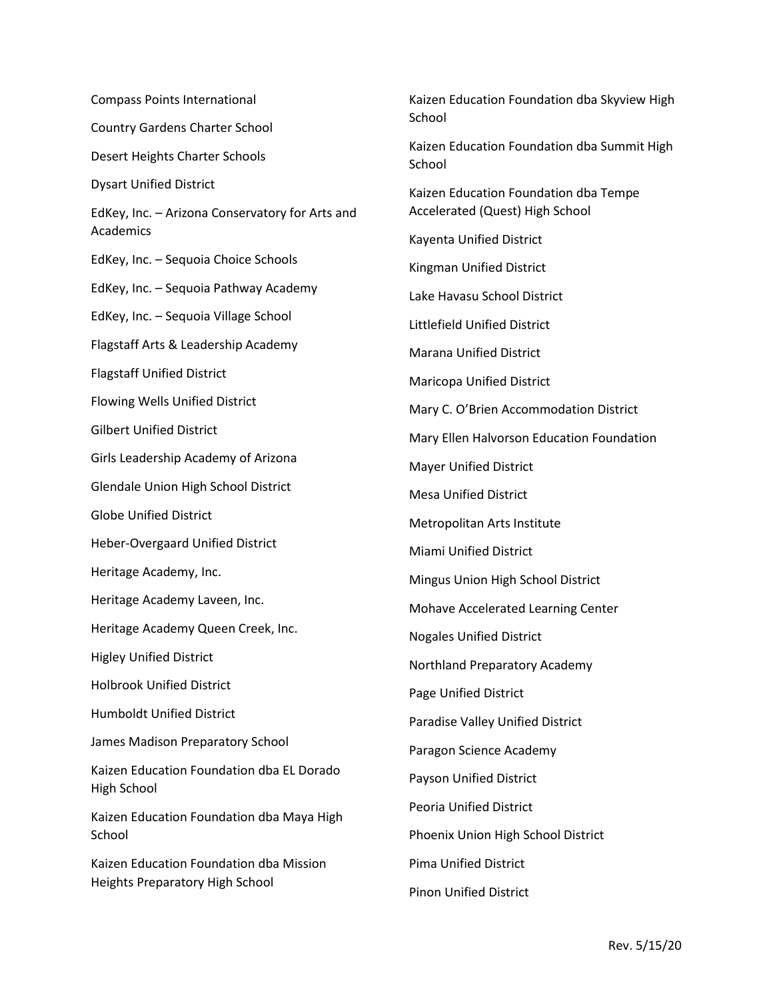Compass Points International Country Gardens Charter School Desert Heights Charter Schools Dysart Unified District EdKey, Inc. – Arizona Conservatory for Arts and Academics EdKey, Inc. – Sequoia Choice Schools EdKey, Inc. – Sequoia Pathway Academy EdKey, Inc. – Sequoia Village School Flagstaff Arts & Leadership Academy Flagstaff Unified District Flowing Wells Unified District Gilbert Unified District Girls Leadership Academy of Arizona Glendale Union High School District Globe Unified District Heber-Overgaard Unified District Heritage Academy, Inc. Heritage Academy Laveen, Inc. Heritage Academy Queen Creek, Inc. Higley Unified District Holbrook Unified District Humboldt Unified District James Madison Preparatory School Kaizen Education Foundation dba EL Dorado High School Kaizen Education Foundation dba Maya High School Kaizen Education Foundation dba Mission Heights Preparatory High School

Kaizen Education Foundation dba Skyview High **School** Kaizen Education Foundation dba Summit High School Kaizen Education Foundation dba Tempe Accelerated (Quest) High School Kayenta Unified District Kingman Unified District Lake Havasu School District Littlefield Unified District Marana Unified District Maricopa Unified District Mary C. O'Brien Accommodation District Mary Ellen Halvorson Education Foundation Mayer Unified District Mesa Unified District Metropolitan Arts Institute Miami Unified District Mingus Union High School District Mohave Accelerated Learning Center Nogales Unified District Northland Preparatory Academy Page Unified District Paradise Valley Unified District Paragon Science Academy Payson Unified District Peoria Unified District Phoenix Union High School District Pima Unified District

## Pinon Unified District